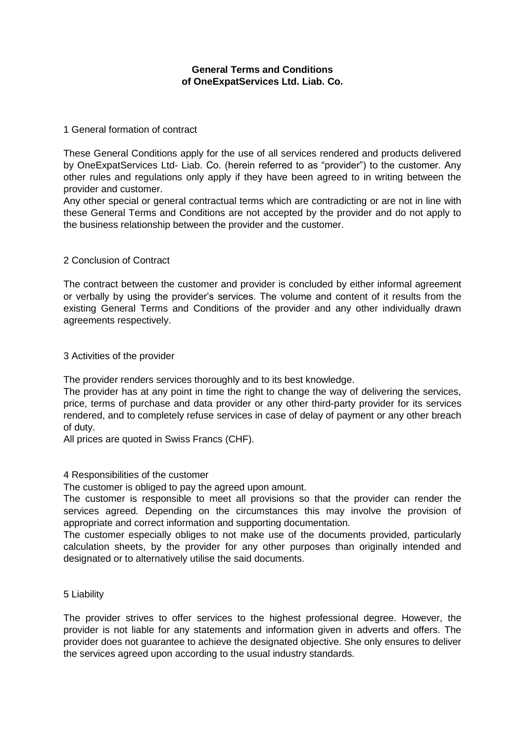# **General Terms and Conditions of OneExpatServices Ltd. Liab. Co.**

### 1 General formation of contract

These General Conditions apply for the use of all services rendered and products delivered by OneExpatServices Ltd- Liab. Co. (herein referred to as "provider") to the customer. Any other rules and regulations only apply if they have been agreed to in writing between the provider and customer.

Any other special or general contractual terms which are contradicting or are not in line with these General Terms and Conditions are not accepted by the provider and do not apply to the business relationship between the provider and the customer.

# 2 Conclusion of Contract

The contract between the customer and provider is concluded by either informal agreement or verbally by using the provider's services. The volume and content of it results from the existing General Terms and Conditions of the provider and any other individually drawn agreements respectively.

#### 3 Activities of the provider

The provider renders services thoroughly and to its best knowledge.

The provider has at any point in time the right to change the way of delivering the services, price, terms of purchase and data provider or any other third-party provider for its services rendered, and to completely refuse services in case of delay of payment or any other breach of duty.

All prices are quoted in Swiss Francs (CHF).

#### 4 Responsibilities of the customer

The customer is obliged to pay the agreed upon amount.

The customer is responsible to meet all provisions so that the provider can render the services agreed. Depending on the circumstances this may involve the provision of appropriate and correct information and supporting documentation.

The customer especially obliges to not make use of the documents provided, particularly calculation sheets, by the provider for any other purposes than originally intended and designated or to alternatively utilise the said documents.

### 5 Liability

The provider strives to offer services to the highest professional degree. However, the provider is not liable for any statements and information given in adverts and offers. The provider does not guarantee to achieve the designated objective. She only ensures to deliver the services agreed upon according to the usual industry standards.